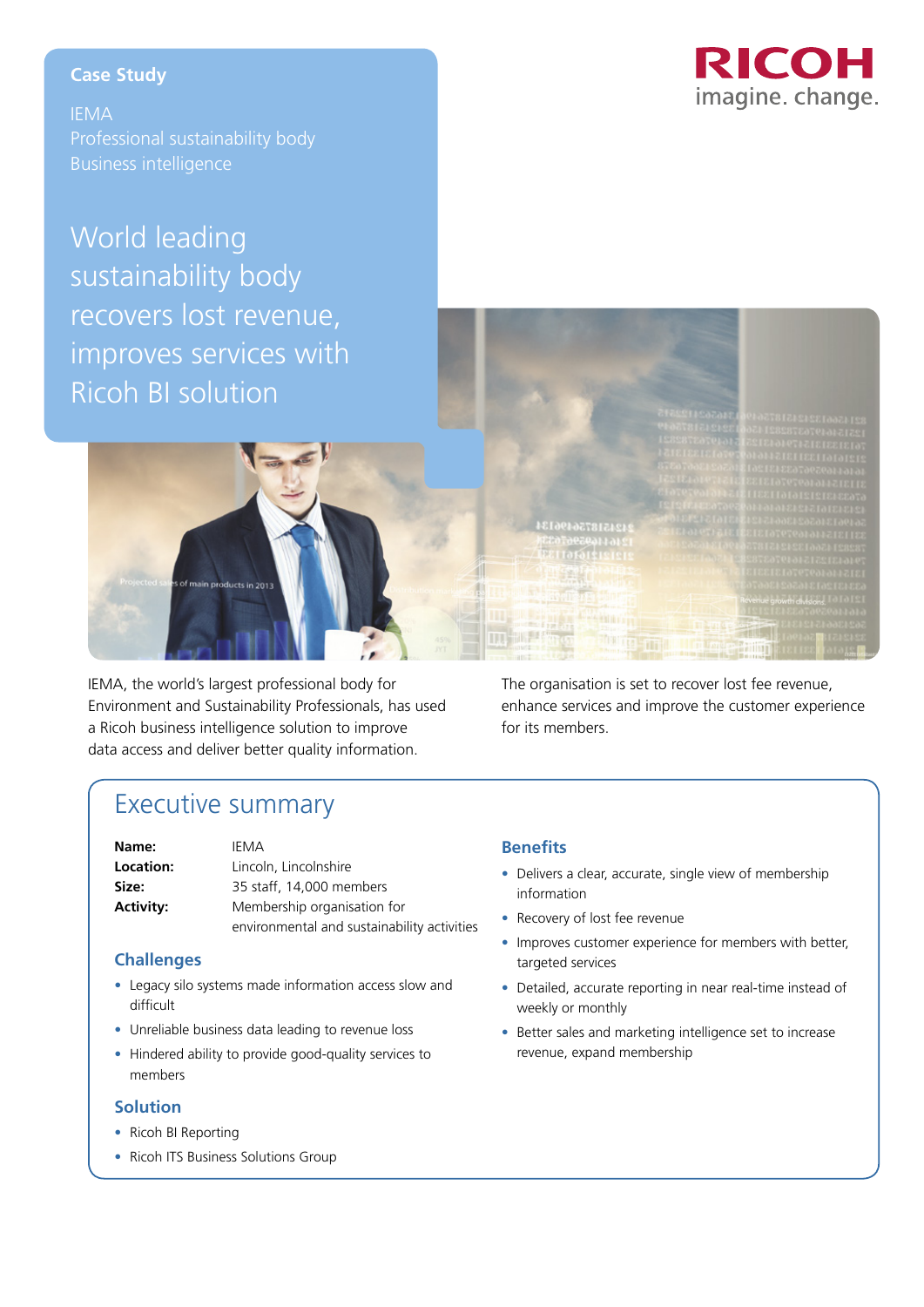## RICOH imagine. change.

#### **Case Study**

IEMA Professional sustainability body Business intelligence

# World leading sustainability body recovers lost revenue, improves services with Ricoh BI solution



IEMA, the world's largest professional body for Environment and Sustainability Professionals, has used a Ricoh business intelligence solution to improve data access and deliver better quality information.

The organisation is set to recover lost fee revenue, enhance services and improve the customer experience for its members.

### Executive summary

| Name:            | IEMA                                        |
|------------------|---------------------------------------------|
| Location:        | Lincoln, Lincolnshire                       |
| Size:            | 35 staff, 14,000 members                    |
| <b>Activity:</b> | Membership organisation for                 |
|                  | environmental and sustainability activities |

#### **Challenges**

- Legacy silo systems made information access slow and difficult
- Unreliable business data leading to revenue loss
- Hindered ability to provide good-quality services to members

#### **Solution**

- Ricoh BI Reporting
- Ricoh ITS Business Solutions Group

#### **Benefits**

- Delivers a clear, accurate, single view of membership information
- Recovery of lost fee revenue
- Improves customer experience for members with better, targeted services
- Detailed, accurate reporting in near real-time instead of weekly or monthly
- Better sales and marketing intelligence set to increase revenue, expand membership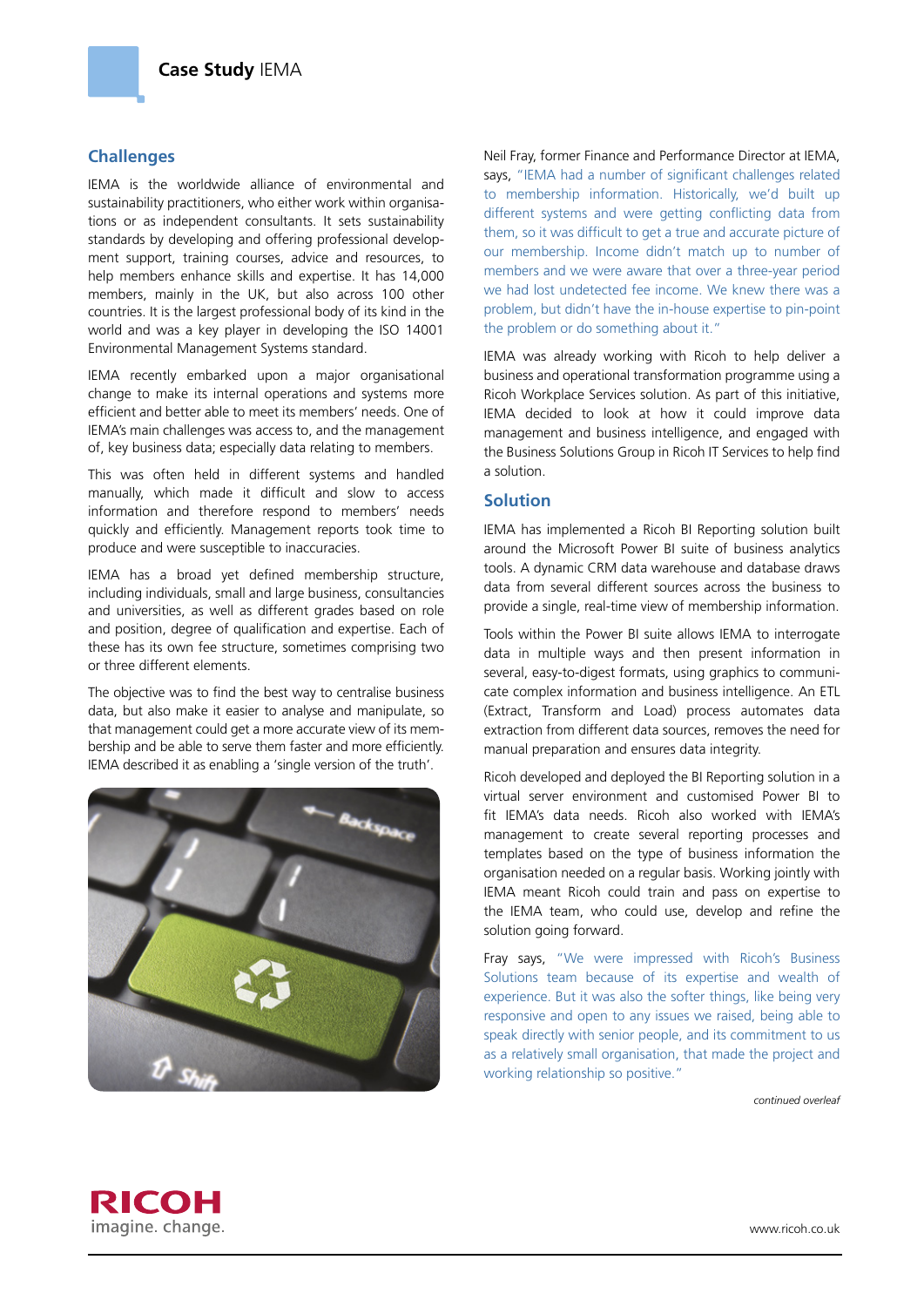#### **Challenges**

IEMA is the worldwide alliance of environmental and sustainability practitioners, who either work within organisations or as independent consultants. It sets sustainability standards by developing and offering professional development support, training courses, advice and resources, to help members enhance skills and expertise. It has 14,000 members, mainly in the UK, but also across 100 other countries. It is the largest professional body of its kind in the world and was a key player in developing the ISO 14001 Environmental Management Systems standard.

IEMA recently embarked upon a major organisational change to make its internal operations and systems more efficient and better able to meet its members' needs. One of IEMA's main challenges was access to, and the management of, key business data; especially data relating to members.

This was often held in different systems and handled manually, which made it difficult and slow to access information and therefore respond to members' needs quickly and efficiently. Management reports took time to produce and were susceptible to inaccuracies.

IEMA has a broad yet defined membership structure, including individuals, small and large business, consultancies and universities, as well as different grades based on role and position, degree of qualification and expertise. Each of these has its own fee structure, sometimes comprising two or three different elements.

The objective was to find the best way to centralise business data, but also make it easier to analyse and manipulate, so that management could get a more accurate view of its membership and be able to serve them faster and more efficiently. IEMA described it as enabling a 'single version of the truth'.



Neil Fray, former Finance and Performance Director at IEMA, says, "IEMA had a number of significant challenges related to membership information. Historically, we'd built up different systems and were getting conflicting data from them, so it was difficult to get a true and accurate picture of our membership. Income didn't match up to number of members and we were aware that over a three-year period we had lost undetected fee income. We knew there was a problem, but didn't have the in-house expertise to pin-point the problem or do something about it."

IEMA was already working with Ricoh to help deliver a business and operational transformation programme using a Ricoh Workplace Services solution. As part of this initiative, IEMA decided to look at how it could improve data management and business intelligence, and engaged with the Business Solutions Group in Ricoh IT Services to help find a solution.

#### **Solution**

IEMA has implemented a Ricoh BI Reporting solution built around the Microsoft Power BI suite of business analytics tools. A dynamic CRM data warehouse and database draws data from several different sources across the business to provide a single, real-time view of membership information.

Tools within the Power BI suite allows IEMA to interrogate data in multiple ways and then present information in several, easy-to-digest formats, using graphics to communicate complex information and business intelligence. An ETL (Extract, Transform and Load) process automates data extraction from different data sources, removes the need for manual preparation and ensures data integrity.

Ricoh developed and deployed the BI Reporting solution in a virtual server environment and customised Power BI to fit IEMA's data needs. Ricoh also worked with IEMA's management to create several reporting processes and templates based on the type of business information the organisation needed on a regular basis. Working jointly with IEMA meant Ricoh could train and pass on expertise to the IEMA team, who could use, develop and refine the solution going forward.

Fray says, "We were impressed with Ricoh's Business Solutions team because of its expertise and wealth of experience. But it was also the softer things, like being very responsive and open to any issues we raised, being able to speak directly with senior people, and its commitment to us as a relatively small organisation, that made the project and working relationship so positive."

*continued overleaf*